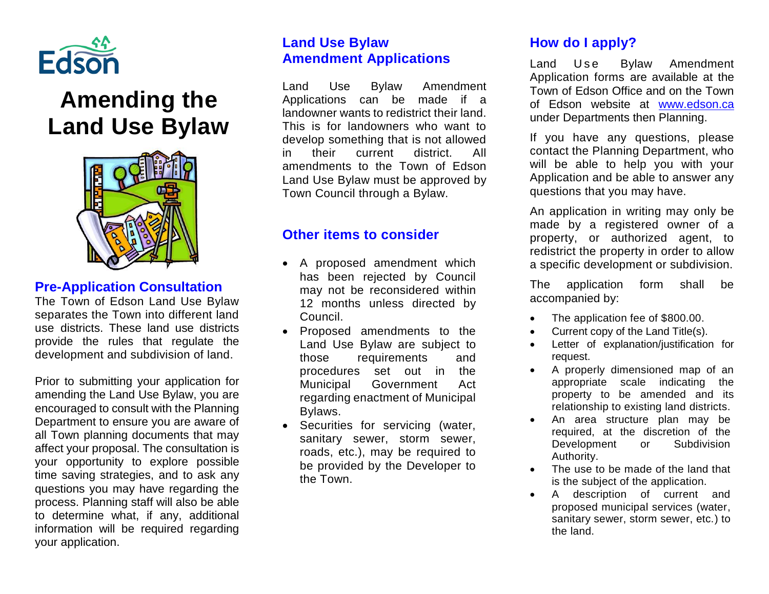

# **Amending the Land Use Bylaw**



#### **Pre-Application Consultation**

The Town of Edson Land Use Bylaw separates the Town into different land use districts. These land use districts provide the rules that regulate the development and subdivision of land.

Prior to submitting your application for amending the Land Use Bylaw, you are encouraged to consult with the Planning Department to ensure you are aware of all Town planning documents that may affect your proposal. The consultation is your opportunity to explore possible time saving strategies, and to ask any questions you may have regarding the process. Planning staff will also be able to determine what, if any, additional information will be required regarding your application.

# **Land Use Bylaw Amendment Applications**

Land Use Bylaw Amendment Applications can be made if a landowner wants to redistrict their land. This is for landowners who want to develop something that is not allowed in their current district. All amendments to the Town of Edson Land Use Bylaw must be approved by Town Council through a Bylaw.

## **Other items to consider**

- A proposed amendment which has been rejected by Council may not be reconsidered within 12 months unless directed by Council.
- Proposed amendments to the Land Use Bylaw are subject to those requirements and procedures set out in the Municipal Government Act regarding enactment of Municipal Bylaws.
- Securities for servicing (water, sanitary sewer, storm sewer, roads, etc.), may be required to be provided by the Developer to the Town.

# **How do I apply?**

Land Use Bylaw Amendment Application forms are available at the Town of Edson Office and on the Town of Edson website at [www.edson.ca](http://www.edson.ca/) under Departments then Planning.

If you have any questions, please contact the Planning Department, who will be able to help you with your Application and be able to answer any questions that you may have.

An application in writing may only be made by a registered owner of a property, or authorized agent, to redistrict the property in order to allow a specific development or subdivision.

The application form shall be accompanied by:

- The application fee of \$800.00.
- Current copy of the Land Title(s).
- Letter of explanation/justification for request.
- A properly dimensioned map of an appropriate scale indicating the property to be amended and its relationship to existing land districts.
- An area structure plan may be required, at the discretion of the Development or Subdivision Authority.
- The use to be made of the land that is the subject of the application.
- A description of current and proposed municipal services (water, sanitary sewer, storm sewer, etc.) to the land.